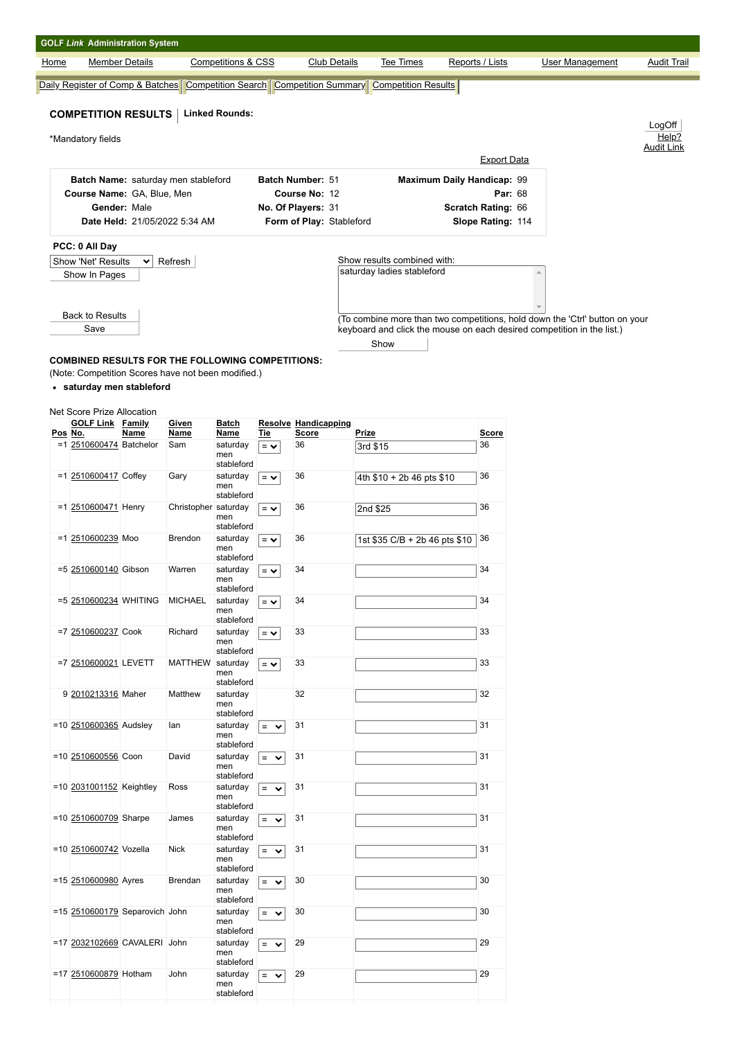|                                     | <b>GOLF Link Administration System</b>                                                                        |                       |                               |                               |                  |                               |          |                                                                |  |                                   |                                                                                                                                                       |                            |
|-------------------------------------|---------------------------------------------------------------------------------------------------------------|-----------------------|-------------------------------|-------------------------------|------------------|-------------------------------|----------|----------------------------------------------------------------|--|-----------------------------------|-------------------------------------------------------------------------------------------------------------------------------------------------------|----------------------------|
| Home                                |                                                                                                               | <b>Member Details</b> |                               | <b>Competitions &amp; CSS</b> |                  | Club Details                  |          | Tee Times                                                      |  | Reports / Lists                   | <b>User Management</b>                                                                                                                                | <b>Audit Trail</b>         |
|                                     | Daily Register of Comp & Batches                                                                              |                       |                               |                               |                  |                               |          | Competition Search   Competition Summary   Competition Results |  |                                   |                                                                                                                                                       |                            |
|                                     |                                                                                                               |                       |                               |                               |                  |                               |          |                                                                |  |                                   |                                                                                                                                                       |                            |
|                                     | <b>COMPETITION RESULTS</b>                                                                                    |                       |                               | <b>Linked Rounds:</b>         |                  |                               |          |                                                                |  |                                   |                                                                                                                                                       | LogOff                     |
|                                     | *Mandatory fields                                                                                             |                       |                               |                               |                  |                               |          |                                                                |  |                                   |                                                                                                                                                       | Help?<br><b>Audit Link</b> |
|                                     |                                                                                                               |                       |                               |                               |                  |                               |          |                                                                |  | <b>Export Data</b>                |                                                                                                                                                       |                            |
| Batch Name: saturday men stableford |                                                                                                               |                       |                               |                               |                  | Batch Number: 51              |          |                                                                |  | <b>Maximum Daily Handicap: 99</b> |                                                                                                                                                       |                            |
| Course Name: GA, Blue, Men          |                                                                                                               |                       |                               |                               |                  | Course No: 12                 |          |                                                                |  |                                   | <b>Par: 68</b>                                                                                                                                        |                            |
|                                     |                                                                                                               | Gender: Male          |                               |                               |                  | No. Of Players: 31            |          | Scratch Rating: 66                                             |  |                                   |                                                                                                                                                       |                            |
|                                     |                                                                                                               |                       | Date Held: 21/05/2022 5:34 AM |                               |                  | Form of Play: Stableford      |          |                                                                |  | Slope Rating: 114                 |                                                                                                                                                       |                            |
|                                     | PCC: 0 All Day                                                                                                |                       |                               |                               |                  |                               |          |                                                                |  |                                   |                                                                                                                                                       |                            |
|                                     | <b>Show 'Net' Results</b>                                                                                     | $\checkmark$          | Refresh                       |                               |                  |                               |          | Show results combined with:                                    |  |                                   |                                                                                                                                                       |                            |
|                                     | Show In Pages                                                                                                 |                       |                               |                               |                  |                               |          | saturday ladies stableford                                     |  |                                   |                                                                                                                                                       |                            |
|                                     | <b>Back to Results</b><br>Save                                                                                |                       |                               |                               |                  |                               |          |                                                                |  |                                   | (To combine more than two competitions, hold down the 'Ctrl' button on your<br>keyboard and click the mouse on each desired competition in the list.) |                            |
|                                     |                                                                                                               |                       |                               |                               |                  |                               |          |                                                                |  |                                   |                                                                                                                                                       |                            |
|                                     |                                                                                                               |                       |                               |                               |                  |                               |          | Show                                                           |  |                                   |                                                                                                                                                       |                            |
|                                     | <b>COMBINED RESULTS FOR THE FOLLOWING COMPETITIONS:</b><br>(Note: Competition Scores have not been modified.) |                       |                               |                               |                  |                               |          |                                                                |  |                                   |                                                                                                                                                       |                            |
|                                     | • saturday men stableford                                                                                     |                       |                               |                               |                  |                               |          |                                                                |  |                                   |                                                                                                                                                       |                            |
|                                     |                                                                                                               |                       |                               |                               |                  |                               |          |                                                                |  |                                   |                                                                                                                                                       |                            |
|                                     | Net Score Prize Allocation                                                                                    |                       |                               |                               |                  |                               |          |                                                                |  |                                   |                                                                                                                                                       |                            |
|                                     | <b>GOLF Link Family</b><br>Pos No.                                                                            | Name                  | Given<br>Name                 | <b>Batch</b><br>Name          | Tie              | Resolve Handicapping<br>Score | Prize    |                                                                |  | <b>Score</b>                      |                                                                                                                                                       |                            |
|                                     | =1 2510600474 Batchelor                                                                                       |                       | Sam                           | saturday                      | $=$ $\checkmark$ | 36                            | 3rd \$15 |                                                                |  | 36                                |                                                                                                                                                       |                            |
|                                     |                                                                                                               |                       |                               | men<br>stableford             |                  |                               |          |                                                                |  |                                   |                                                                                                                                                       |                            |
|                                     | =1 2510600417 Coffey                                                                                          |                       | Gary                          | saturday                      | $=$ $\vee$       | 36                            |          | 4th \$10 + 2b 46 pts \$10                                      |  | 36                                |                                                                                                                                                       |                            |
|                                     |                                                                                                               |                       |                               | men<br>stableford             |                  |                               |          |                                                                |  |                                   |                                                                                                                                                       |                            |
|                                     | =1 2510600471 Henry                                                                                           |                       | Christopher saturday          |                               | $=$ $\vee$       | 36                            |          | 2nd \$25                                                       |  | 36                                |                                                                                                                                                       |                            |
|                                     |                                                                                                               |                       |                               | men<br>stableford             |                  |                               |          |                                                                |  |                                   |                                                                                                                                                       |                            |
|                                     | =1 2510600239 Moo                                                                                             |                       | <b>Brendon</b>                | saturday                      | $=$ $\vee$       | 36                            |          | 1st \$35 C/B + 2b 46 pts \$10                                  |  | 36                                |                                                                                                                                                       |                            |
|                                     |                                                                                                               |                       |                               | men<br>stableford             |                  |                               |          |                                                                |  |                                   |                                                                                                                                                       |                            |
|                                     | =5 2510600140 Gibson                                                                                          |                       | Warren                        | saturday                      | $=$ $\vee$       | 34                            |          |                                                                |  | 34                                |                                                                                                                                                       |                            |
|                                     |                                                                                                               |                       |                               | men<br>stableford             |                  |                               |          |                                                                |  |                                   |                                                                                                                                                       |                            |

 $=$   $\sim$   $\begin{vmatrix} 34 & 34 \end{vmatrix}$  34

 $=$   $\sim$  33 33

 $=$   $\sim$  33 33

 $=$   $\sqrt{31}$   $\sqrt{31}$   $\sqrt{31}$ 

 $\boxed{=}$   $\rightarrow$  31 31 31

 $\boxed{=}$   $\rightarrow$  31 31 31

 $\boxed{=}$   $\rightarrow$  31 31 31

 $=$   $\sqrt{}$  31  $\sqrt{}$  31

 $\boxed{=}$   $\rightarrow$  30 30

= 30 30

 $=$   $\sqrt{29}$  29 29

= 29 29

32 32

=5 [2510600234](javascript:__doPostBack() WHITING MICHAEL saturday

 $=7$  [2510600237](javascript:__doPostBack() Cook Richard

9 [2010213316](javascript:__doPostBack() Maher Matthew

 $=$ 10 [2510600365](javascript:__doPostBack() Audsley Ian

=10 [2510600556](javascript:__doPostBack() Coon David

 $=$  10  $\overline{2031001152}$  $\overline{2031001152}$  $\overline{2031001152}$  Keightley Ross

 $=15$   $2510600179$  Separovich John

=17 [2032102669](javascript:__doPostBack() CAVALERI John

=10 [2510600709](javascript:__doPostBack() Sharpe James saturday

=10 [2510600742](javascript:__doPostBack() Vozella Nick saturday

=15 [2510600980](javascript:__doPostBack() Ayres Brendan saturday

=17 [2510600879](javascript:__doPostBack() Hotham John saturday

=7 [2510600021](javascript:__doPostBack() LEVETT

men stableford<br>saturday

men stableford<br>MATTHEW saturday

men stableford<br>saturday

men stableford<br>saturday

men stableford<br>saturday

men stableford<br>saturday

men stableford

men stableford

men stableford

men stableford<br>saturday

men stableford<br>saturday

men stableford

men stableford